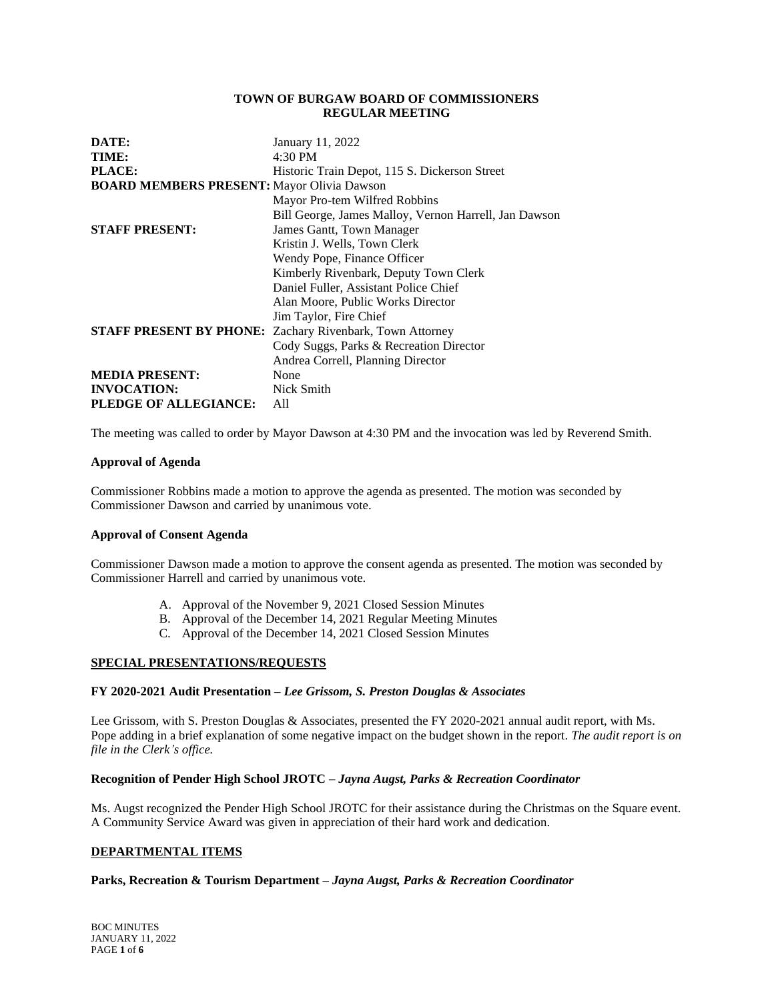### **TOWN OF BURGAW BOARD OF COMMISSIONERS REGULAR MEETING**

| DATE:                                             | January 11, 2022                                      |
|---------------------------------------------------|-------------------------------------------------------|
| TIME:                                             | $4:30 \text{ PM}$                                     |
| PLACE:                                            | Historic Train Depot, 115 S. Dickerson Street         |
| <b>BOARD MEMBERS PRESENT:</b> Mayor Olivia Dawson |                                                       |
|                                                   | Mayor Pro-tem Wilfred Robbins                         |
|                                                   | Bill George, James Malloy, Vernon Harrell, Jan Dawson |
| <b>STAFF PRESENT:</b>                             | James Gantt, Town Manager                             |
|                                                   | Kristin J. Wells, Town Clerk                          |
|                                                   | Wendy Pope, Finance Officer                           |
|                                                   | Kimberly Rivenbark, Deputy Town Clerk                 |
|                                                   | Daniel Fuller, Assistant Police Chief                 |
|                                                   | Alan Moore, Public Works Director                     |
|                                                   | Jim Taylor, Fire Chief                                |
| <b>STAFF PRESENT BY PHONE:</b>                    | Zachary Rivenbark, Town Attorney                      |
|                                                   | Cody Suggs, Parks & Recreation Director               |
|                                                   | Andrea Correll, Planning Director                     |
| <b>MEDIA PRESENT:</b>                             | None                                                  |
| <b>INVOCATION:</b>                                | Nick Smith                                            |
| PLEDGE OF ALLEGIANCE:                             | A11                                                   |

The meeting was called to order by Mayor Dawson at 4:30 PM and the invocation was led by Reverend Smith.

### **Approval of Agenda**

Commissioner Robbins made a motion to approve the agenda as presented. The motion was seconded by Commissioner Dawson and carried by unanimous vote.

### **Approval of Consent Agenda**

Commissioner Dawson made a motion to approve the consent agenda as presented. The motion was seconded by Commissioner Harrell and carried by unanimous vote.

- A. Approval of the November 9, 2021 Closed Session Minutes
- B. Approval of the December 14, 2021 Regular Meeting Minutes
- C. Approval of the December 14, 2021 Closed Session Minutes

# **SPECIAL PRESENTATIONS/REQUESTS**

## **FY 2020-2021 Audit Presentation –** *Lee Grissom, S. Preston Douglas & Associates*

Lee Grissom, with S. Preston Douglas & Associates, presented the FY 2020-2021 annual audit report, with Ms. Pope adding in a brief explanation of some negative impact on the budget shown in the report. *The audit report is on file in the Clerk's office.*

### **Recognition of Pender High School JROTC –** *Jayna Augst, Parks & Recreation Coordinator*

Ms. Augst recognized the Pender High School JROTC for their assistance during the Christmas on the Square event. A Community Service Award was given in appreciation of their hard work and dedication.

### **DEPARTMENTAL ITEMS**

### **Parks, Recreation & Tourism Department –** *Jayna Augst, Parks & Recreation Coordinator*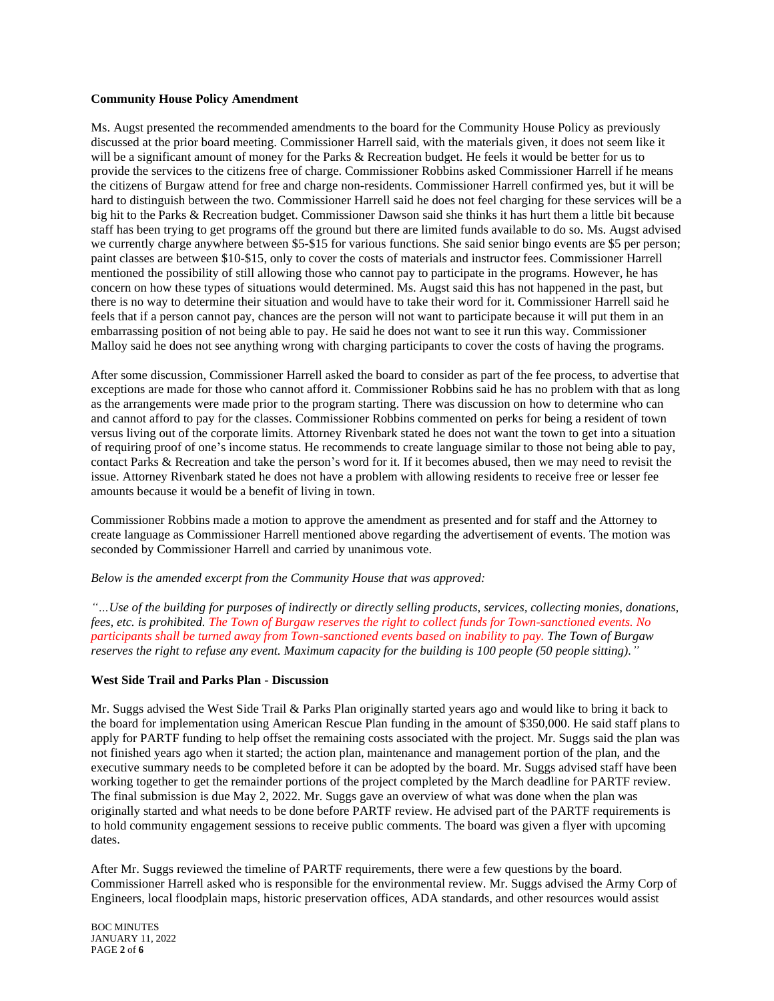### **Community House Policy Amendment**

Ms. Augst presented the recommended amendments to the board for the Community House Policy as previously discussed at the prior board meeting. Commissioner Harrell said, with the materials given, it does not seem like it will be a significant amount of money for the Parks & Recreation budget. He feels it would be better for us to provide the services to the citizens free of charge. Commissioner Robbins asked Commissioner Harrell if he means the citizens of Burgaw attend for free and charge non-residents. Commissioner Harrell confirmed yes, but it will be hard to distinguish between the two. Commissioner Harrell said he does not feel charging for these services will be a big hit to the Parks & Recreation budget. Commissioner Dawson said she thinks it has hurt them a little bit because staff has been trying to get programs off the ground but there are limited funds available to do so. Ms. Augst advised we currently charge anywhere between \$5-\$15 for various functions. She said senior bingo events are \$5 per person; paint classes are between \$10-\$15, only to cover the costs of materials and instructor fees. Commissioner Harrell mentioned the possibility of still allowing those who cannot pay to participate in the programs. However, he has concern on how these types of situations would determined. Ms. Augst said this has not happened in the past, but there is no way to determine their situation and would have to take their word for it. Commissioner Harrell said he feels that if a person cannot pay, chances are the person will not want to participate because it will put them in an embarrassing position of not being able to pay. He said he does not want to see it run this way. Commissioner Malloy said he does not see anything wrong with charging participants to cover the costs of having the programs.

After some discussion, Commissioner Harrell asked the board to consider as part of the fee process, to advertise that exceptions are made for those who cannot afford it. Commissioner Robbins said he has no problem with that as long as the arrangements were made prior to the program starting. There was discussion on how to determine who can and cannot afford to pay for the classes. Commissioner Robbins commented on perks for being a resident of town versus living out of the corporate limits. Attorney Rivenbark stated he does not want the town to get into a situation of requiring proof of one's income status. He recommends to create language similar to those not being able to pay, contact Parks & Recreation and take the person's word for it. If it becomes abused, then we may need to revisit the issue. Attorney Rivenbark stated he does not have a problem with allowing residents to receive free or lesser fee amounts because it would be a benefit of living in town.

Commissioner Robbins made a motion to approve the amendment as presented and for staff and the Attorney to create language as Commissioner Harrell mentioned above regarding the advertisement of events. The motion was seconded by Commissioner Harrell and carried by unanimous vote.

*Below is the amended excerpt from the Community House that was approved:*

*"…Use of the building for purposes of indirectly or directly selling products, services, collecting monies, donations, fees, etc. is prohibited. The Town of Burgaw reserves the right to collect funds for Town-sanctioned events. No participants shall be turned away from Town-sanctioned events based on inability to pay. The Town of Burgaw reserves the right to refuse any event. Maximum capacity for the building is 100 people (50 people sitting)."*

# **West Side Trail and Parks Plan - Discussion**

Mr. Suggs advised the West Side Trail & Parks Plan originally started years ago and would like to bring it back to the board for implementation using American Rescue Plan funding in the amount of \$350,000. He said staff plans to apply for PARTF funding to help offset the remaining costs associated with the project. Mr. Suggs said the plan was not finished years ago when it started; the action plan, maintenance and management portion of the plan, and the executive summary needs to be completed before it can be adopted by the board. Mr. Suggs advised staff have been working together to get the remainder portions of the project completed by the March deadline for PARTF review. The final submission is due May 2, 2022. Mr. Suggs gave an overview of what was done when the plan was originally started and what needs to be done before PARTF review. He advised part of the PARTF requirements is to hold community engagement sessions to receive public comments. The board was given a flyer with upcoming dates.

After Mr. Suggs reviewed the timeline of PARTF requirements, there were a few questions by the board. Commissioner Harrell asked who is responsible for the environmental review. Mr. Suggs advised the Army Corp of Engineers, local floodplain maps, historic preservation offices, ADA standards, and other resources would assist

BOC MINUTES JANUARY 11, 2022 PAGE **2** of **6**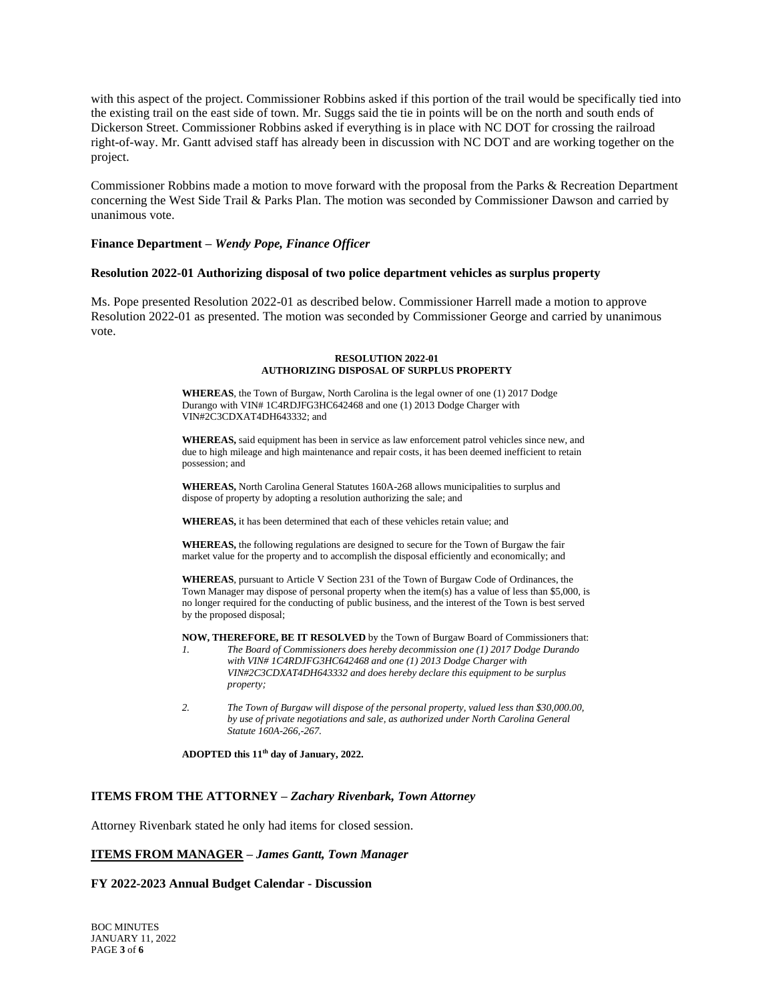with this aspect of the project. Commissioner Robbins asked if this portion of the trail would be specifically tied into the existing trail on the east side of town. Mr. Suggs said the tie in points will be on the north and south ends of Dickerson Street. Commissioner Robbins asked if everything is in place with NC DOT for crossing the railroad right-of-way. Mr. Gantt advised staff has already been in discussion with NC DOT and are working together on the project.

Commissioner Robbins made a motion to move forward with the proposal from the Parks & Recreation Department concerning the West Side Trail & Parks Plan. The motion was seconded by Commissioner Dawson and carried by unanimous vote.

#### **Finance Department –** *Wendy Pope, Finance Officer*

#### **Resolution 2022-01 Authorizing disposal of two police department vehicles as surplus property**

Ms. Pope presented Resolution 2022-01 as described below. Commissioner Harrell made a motion to approve Resolution 2022-01 as presented. The motion was seconded by Commissioner George and carried by unanimous vote.

#### **RESOLUTION 2022-01 AUTHORIZING DISPOSAL OF SURPLUS PROPERTY**

**WHEREAS**, the Town of Burgaw, North Carolina is the legal owner of one (1) 2017 Dodge Durango with VIN# 1C4RDJFG3HC642468 and one (1) 2013 Dodge Charger with VIN#2C3CDXAT4DH643332; and

**WHEREAS,** said equipment has been in service as law enforcement patrol vehicles since new, and due to high mileage and high maintenance and repair costs, it has been deemed inefficient to retain possession; and

**WHEREAS,** North Carolina General Statutes 160A-268 allows municipalities to surplus and dispose of property by adopting a resolution authorizing the sale; and

**WHEREAS,** it has been determined that each of these vehicles retain value; and

**WHEREAS,** the following regulations are designed to secure for the Town of Burgaw the fair market value for the property and to accomplish the disposal efficiently and economically; and

**WHEREAS**, pursuant to Article V Section 231 of the Town of Burgaw Code of Ordinances, the Town Manager may dispose of personal property when the item(s) has a value of less than \$5,000, is no longer required for the conducting of public business, and the interest of the Town is best served by the proposed disposal;

**NOW, THEREFORE, BE IT RESOLVED** by the Town of Burgaw Board of Commissioners that:

- *1. The Board of Commissioners does hereby decommission one (1) 2017 Dodge Durando with VIN# 1C4RDJFG3HC642468 and one (1) 2013 Dodge Charger with VIN#2C3CDXAT4DH643332 and does hereby declare this equipment to be surplus property;*
- *2. The Town of Burgaw will dispose of the personal property, valued less than \$30,000.00, by use of private negotiations and sale, as authorized under North Carolina General Statute 160A-266,-267.*

**ADOPTED this 11th day of January, 2022.**

#### **ITEMS FROM THE ATTORNEY –** *Zachary Rivenbark, Town Attorney*

Attorney Rivenbark stated he only had items for closed session.

### **ITEMS FROM MANAGER –** *James Gantt, Town Manager*

#### **FY 2022-2023 Annual Budget Calendar - Discussion**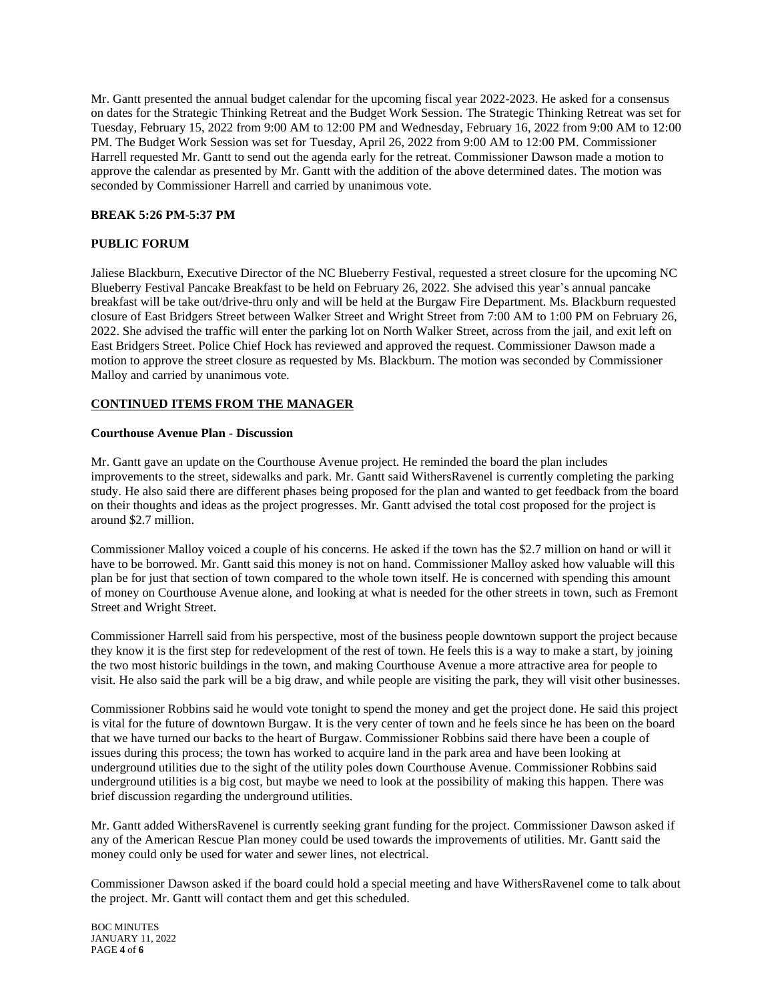Mr. Gantt presented the annual budget calendar for the upcoming fiscal year 2022-2023. He asked for a consensus on dates for the Strategic Thinking Retreat and the Budget Work Session. The Strategic Thinking Retreat was set for Tuesday, February 15, 2022 from 9:00 AM to 12:00 PM and Wednesday, February 16, 2022 from 9:00 AM to 12:00 PM. The Budget Work Session was set for Tuesday, April 26, 2022 from 9:00 AM to 12:00 PM. Commissioner Harrell requested Mr. Gantt to send out the agenda early for the retreat. Commissioner Dawson made a motion to approve the calendar as presented by Mr. Gantt with the addition of the above determined dates. The motion was seconded by Commissioner Harrell and carried by unanimous vote.

## **BREAK 5:26 PM-5:37 PM**

# **PUBLIC FORUM**

Jaliese Blackburn, Executive Director of the NC Blueberry Festival, requested a street closure for the upcoming NC Blueberry Festival Pancake Breakfast to be held on February 26, 2022. She advised this year's annual pancake breakfast will be take out/drive-thru only and will be held at the Burgaw Fire Department. Ms. Blackburn requested closure of East Bridgers Street between Walker Street and Wright Street from 7:00 AM to 1:00 PM on February 26, 2022. She advised the traffic will enter the parking lot on North Walker Street, across from the jail, and exit left on East Bridgers Street. Police Chief Hock has reviewed and approved the request. Commissioner Dawson made a motion to approve the street closure as requested by Ms. Blackburn. The motion was seconded by Commissioner Malloy and carried by unanimous vote.

## **CONTINUED ITEMS FROM THE MANAGER**

### **Courthouse Avenue Plan - Discussion**

Mr. Gantt gave an update on the Courthouse Avenue project. He reminded the board the plan includes improvements to the street, sidewalks and park. Mr. Gantt said WithersRavenel is currently completing the parking study. He also said there are different phases being proposed for the plan and wanted to get feedback from the board on their thoughts and ideas as the project progresses. Mr. Gantt advised the total cost proposed for the project is around \$2.7 million.

Commissioner Malloy voiced a couple of his concerns. He asked if the town has the \$2.7 million on hand or will it have to be borrowed. Mr. Gantt said this money is not on hand. Commissioner Malloy asked how valuable will this plan be for just that section of town compared to the whole town itself. He is concerned with spending this amount of money on Courthouse Avenue alone, and looking at what is needed for the other streets in town, such as Fremont Street and Wright Street.

Commissioner Harrell said from his perspective, most of the business people downtown support the project because they know it is the first step for redevelopment of the rest of town. He feels this is a way to make a start, by joining the two most historic buildings in the town, and making Courthouse Avenue a more attractive area for people to visit. He also said the park will be a big draw, and while people are visiting the park, they will visit other businesses.

Commissioner Robbins said he would vote tonight to spend the money and get the project done. He said this project is vital for the future of downtown Burgaw. It is the very center of town and he feels since he has been on the board that we have turned our backs to the heart of Burgaw. Commissioner Robbins said there have been a couple of issues during this process; the town has worked to acquire land in the park area and have been looking at underground utilities due to the sight of the utility poles down Courthouse Avenue. Commissioner Robbins said underground utilities is a big cost, but maybe we need to look at the possibility of making this happen. There was brief discussion regarding the underground utilities.

Mr. Gantt added WithersRavenel is currently seeking grant funding for the project. Commissioner Dawson asked if any of the American Rescue Plan money could be used towards the improvements of utilities. Mr. Gantt said the money could only be used for water and sewer lines, not electrical.

Commissioner Dawson asked if the board could hold a special meeting and have WithersRavenel come to talk about the project. Mr. Gantt will contact them and get this scheduled.

BOC MINUTES JANUARY 11, 2022 PAGE **4** of **6**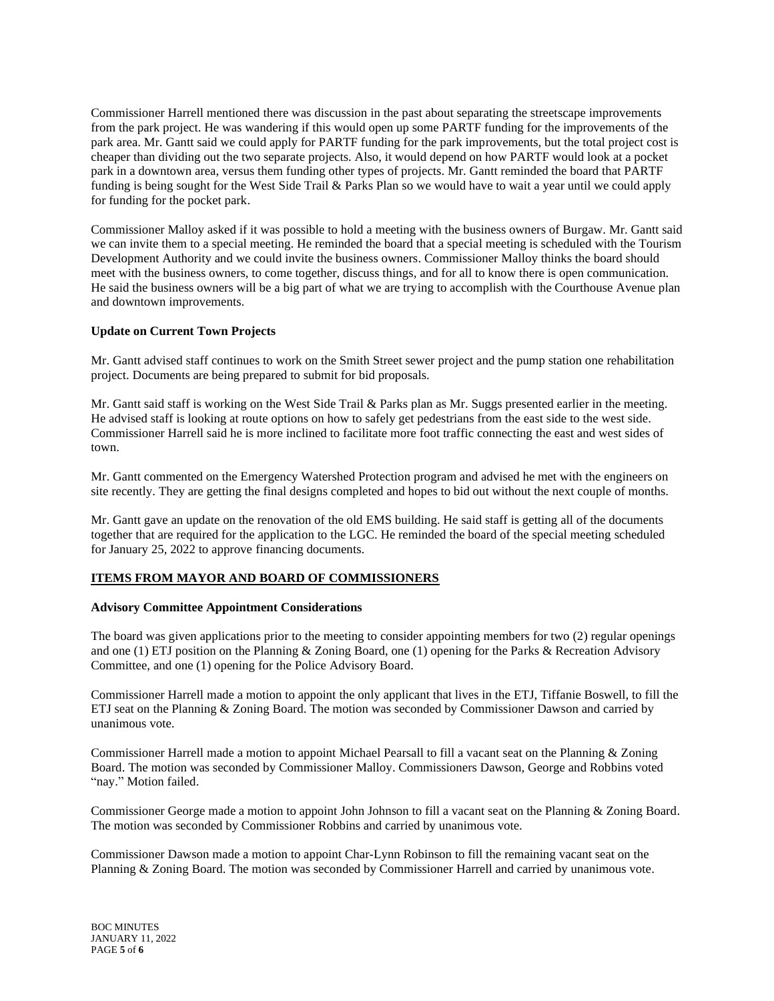Commissioner Harrell mentioned there was discussion in the past about separating the streetscape improvements from the park project. He was wandering if this would open up some PARTF funding for the improvements of the park area. Mr. Gantt said we could apply for PARTF funding for the park improvements, but the total project cost is cheaper than dividing out the two separate projects. Also, it would depend on how PARTF would look at a pocket park in a downtown area, versus them funding other types of projects. Mr. Gantt reminded the board that PARTF funding is being sought for the West Side Trail & Parks Plan so we would have to wait a year until we could apply for funding for the pocket park.

Commissioner Malloy asked if it was possible to hold a meeting with the business owners of Burgaw. Mr. Gantt said we can invite them to a special meeting. He reminded the board that a special meeting is scheduled with the Tourism Development Authority and we could invite the business owners. Commissioner Malloy thinks the board should meet with the business owners, to come together, discuss things, and for all to know there is open communication. He said the business owners will be a big part of what we are trying to accomplish with the Courthouse Avenue plan and downtown improvements.

## **Update on Current Town Projects**

Mr. Gantt advised staff continues to work on the Smith Street sewer project and the pump station one rehabilitation project. Documents are being prepared to submit for bid proposals.

Mr. Gantt said staff is working on the West Side Trail & Parks plan as Mr. Suggs presented earlier in the meeting. He advised staff is looking at route options on how to safely get pedestrians from the east side to the west side. Commissioner Harrell said he is more inclined to facilitate more foot traffic connecting the east and west sides of town.

Mr. Gantt commented on the Emergency Watershed Protection program and advised he met with the engineers on site recently. They are getting the final designs completed and hopes to bid out without the next couple of months.

Mr. Gantt gave an update on the renovation of the old EMS building. He said staff is getting all of the documents together that are required for the application to the LGC. He reminded the board of the special meeting scheduled for January 25, 2022 to approve financing documents.

# **ITEMS FROM MAYOR AND BOARD OF COMMISSIONERS**

### **Advisory Committee Appointment Considerations**

The board was given applications prior to the meeting to consider appointing members for two (2) regular openings and one (1) ETJ position on the Planning & Zoning Board, one (1) opening for the Parks & Recreation Advisory Committee, and one (1) opening for the Police Advisory Board.

Commissioner Harrell made a motion to appoint the only applicant that lives in the ETJ, Tiffanie Boswell, to fill the ETJ seat on the Planning & Zoning Board. The motion was seconded by Commissioner Dawson and carried by unanimous vote.

Commissioner Harrell made a motion to appoint Michael Pearsall to fill a vacant seat on the Planning & Zoning Board. The motion was seconded by Commissioner Malloy. Commissioners Dawson, George and Robbins voted "nay." Motion failed.

Commissioner George made a motion to appoint John Johnson to fill a vacant seat on the Planning & Zoning Board. The motion was seconded by Commissioner Robbins and carried by unanimous vote.

Commissioner Dawson made a motion to appoint Char-Lynn Robinson to fill the remaining vacant seat on the Planning & Zoning Board. The motion was seconded by Commissioner Harrell and carried by unanimous vote.